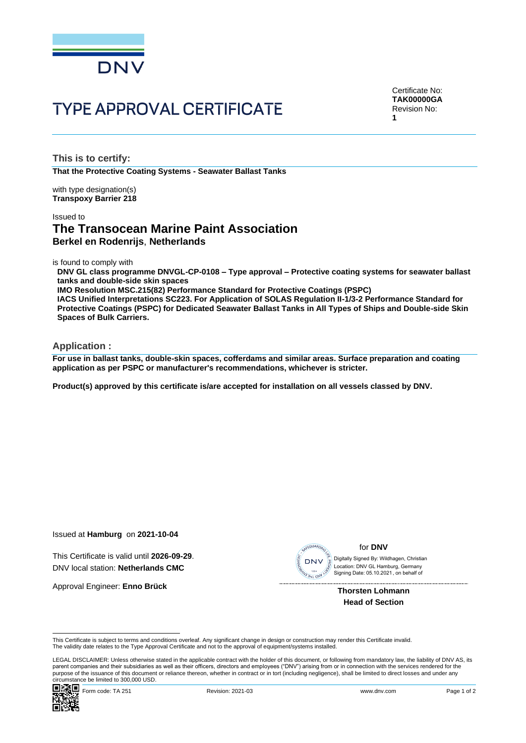

# **TYPE APPROVAL CERTIFICATE**

Certificate No: **TAK00000GA** Revision No: **1**

**This is to certify:**

**That the Protective Coating Systems - Seawater Ballast Tanks**

with type designation(s) **Transpoxy Barrier 218**

### Issued to

# **The Transocean Marine Paint Association Berkel en Rodenrijs**, **Netherlands**

is found to comply with

**DNV GL class programme DNVGL-CP-0108 – Type approval – Protective coating systems for seawater ballast tanks and double-side skin spaces**

**IMO Resolution MSC.215(82) Performance Standard for Protective Coatings (PSPC)**

**IACS Unified Interpretations SC223. For Application of SOLAS Regulation II-1/3-2 Performance Standard for Protective Coatings (PSPC) for Dedicated Seawater Ballast Tanks in All Types of Ships and Double-side Skin Spaces of Bulk Carriers.**

#### **Application :**

**For use in ballast tanks, double-skin spaces, cofferdams and similar areas. Surface preparation and coating application as per PSPC or manufacturer's recommendations, whichever is stricter.**

**Product(s) approved by this certificate is/are accepted for installation on all vessels classed by DNV.**

Issued at **Hamburg** on **2021-10-04**

This Certificate is valid until **2026-09-29**. DNV local station: **Netherlands CMC**

Approval Engineer: **Enno Brück**



for **DNV**

Location: DNV GL Hamburg, Germany<br>Signing Date: 05.10.2021, on behalf of Digitally Signed By: Wildhagen, Christian

> **Thorsten Lohmann Head of Section**

This Certificate is subject to terms and conditions overleaf. Any significant change in design or construction may render this Certificate invalid. The validity date relates to the Type Approval Certificate and not to the approval of equipment/systems installed.

LEGAL DISCLAIMER: Unless otherwise stated in the applicable contract with the holder of this document, or following from mandatory law, the liability of DNV AS, its parent companies and their subsidiaries as well as their officers, directors and employees ("DNV") arising from or in connection with the services rendered for the purpose of the issuance of this document or reliance thereon, whether in contract or in tort (including negligence), shall be limited to direct losses and under any circumstance be limited to 300,000 USD.